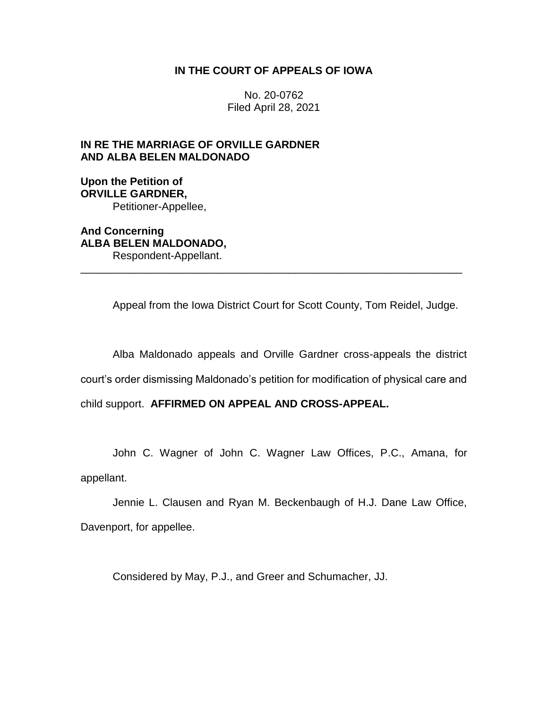# **IN THE COURT OF APPEALS OF IOWA**

No. 20-0762 Filed April 28, 2021

# **IN RE THE MARRIAGE OF ORVILLE GARDNER AND ALBA BELEN MALDONADO**

# **Upon the Petition of ORVILLE GARDNER,** Petitioner-Appellee,

**And Concerning ALBA BELEN MALDONADO,** Respondent-Appellant.

Appeal from the Iowa District Court for Scott County, Tom Reidel, Judge.

\_\_\_\_\_\_\_\_\_\_\_\_\_\_\_\_\_\_\_\_\_\_\_\_\_\_\_\_\_\_\_\_\_\_\_\_\_\_\_\_\_\_\_\_\_\_\_\_\_\_\_\_\_\_\_\_\_\_\_\_\_\_\_\_

Alba Maldonado appeals and Orville Gardner cross-appeals the district

court's order dismissing Maldonado's petition for modification of physical care and

child support. **AFFIRMED ON APPEAL AND CROSS-APPEAL.**

John C. Wagner of John C. Wagner Law Offices, P.C., Amana, for appellant.

Jennie L. Clausen and Ryan M. Beckenbaugh of H.J. Dane Law Office, Davenport, for appellee.

Considered by May, P.J., and Greer and Schumacher, JJ.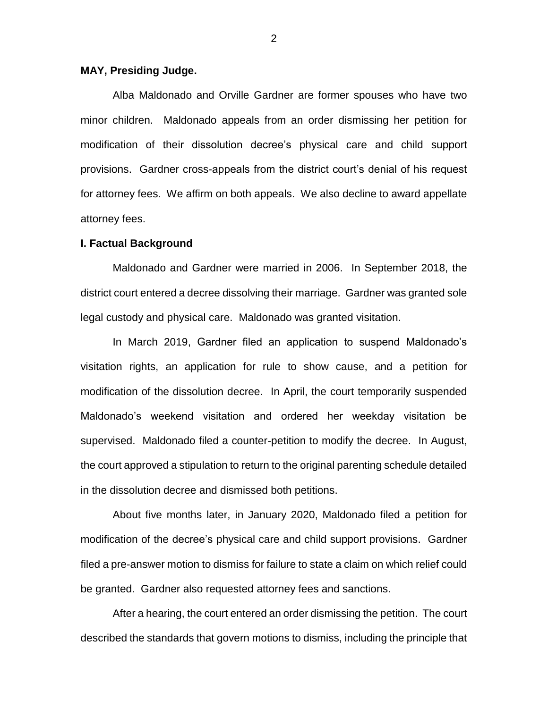### **MAY, Presiding Judge.**

Alba Maldonado and Orville Gardner are former spouses who have two minor children. Maldonado appeals from an order dismissing her petition for modification of their dissolution decree's physical care and child support provisions. Gardner cross-appeals from the district court's denial of his request for attorney fees. We affirm on both appeals. We also decline to award appellate attorney fees.

#### **I. Factual Background**

Maldonado and Gardner were married in 2006. In September 2018, the district court entered a decree dissolving their marriage. Gardner was granted sole legal custody and physical care. Maldonado was granted visitation.

In March 2019, Gardner filed an application to suspend Maldonado's visitation rights, an application for rule to show cause, and a petition for modification of the dissolution decree. In April, the court temporarily suspended Maldonado's weekend visitation and ordered her weekday visitation be supervised. Maldonado filed a counter-petition to modify the decree. In August, the court approved a stipulation to return to the original parenting schedule detailed in the dissolution decree and dismissed both petitions.

About five months later, in January 2020, Maldonado filed a petition for modification of the decree's physical care and child support provisions. Gardner filed a pre-answer motion to dismiss for failure to state a claim on which relief could be granted. Gardner also requested attorney fees and sanctions.

After a hearing, the court entered an order dismissing the petition. The court described the standards that govern motions to dismiss, including the principle that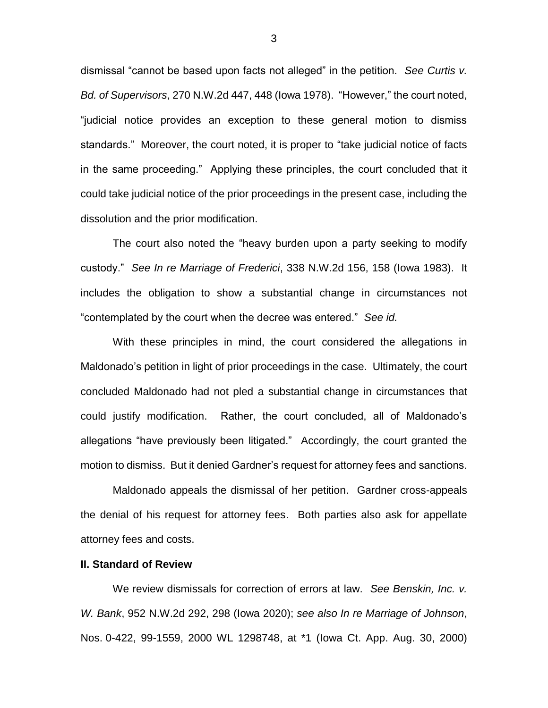dismissal "cannot be based upon facts not alleged" in the petition. *See Curtis v. Bd. of Supervisors*, 270 N.W.2d 447, 448 (Iowa 1978). "However," the court noted, "judicial notice provides an exception to these general motion to dismiss standards." Moreover, the court noted, it is proper to "take judicial notice of facts in the same proceeding." Applying these principles, the court concluded that it could take judicial notice of the prior proceedings in the present case, including the dissolution and the prior modification.

The court also noted the "heavy burden upon a party seeking to modify custody." *See In re Marriage of Frederici*, 338 N.W.2d 156, 158 (Iowa 1983). It includes the obligation to show a substantial change in circumstances not "contemplated by the court when the decree was entered." *See id.*

With these principles in mind, the court considered the allegations in Maldonado's petition in light of prior proceedings in the case. Ultimately, the court concluded Maldonado had not pled a substantial change in circumstances that could justify modification. Rather, the court concluded, all of Maldonado's allegations "have previously been litigated." Accordingly, the court granted the motion to dismiss. But it denied Gardner's request for attorney fees and sanctions.

Maldonado appeals the dismissal of her petition. Gardner cross-appeals the denial of his request for attorney fees. Both parties also ask for appellate attorney fees and costs.

### **II. Standard of Review**

We review dismissals for correction of errors at law. *See Benskin, Inc. v. W. Bank*, 952 N.W.2d 292, 298 (Iowa 2020); *see also In re Marriage of Johnson*, Nos. 0-422, 99-1559, 2000 WL 1298748, at \*1 (Iowa Ct. App. Aug. 30, 2000)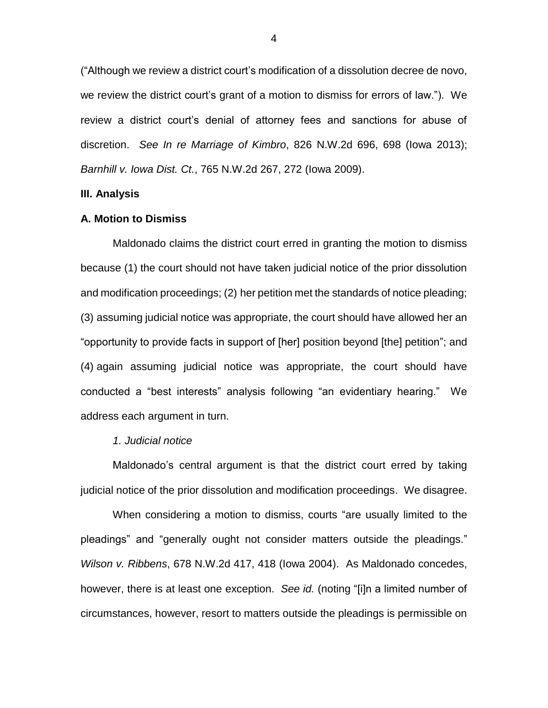("Although we review a district court's modification of a dissolution decree de novo, we review the district court's grant of a motion to dismiss for errors of law."). We review a district court's denial of attorney fees and sanctions for abuse of discretion. *See In re Marriage of Kimbro*, 826 N.W.2d 696, 698 (Iowa 2013); *Barnhill v. Iowa Dist. Ct.*, 765 N.W.2d 267, 272 (Iowa 2009).

### **III. Analysis**

#### **A. Motion to Dismiss**

Maldonado claims the district court erred in granting the motion to dismiss because (1) the court should not have taken judicial notice of the prior dissolution and modification proceedings; (2) her petition met the standards of notice pleading; (3) assuming judicial notice was appropriate, the court should have allowed her an "opportunity to provide facts in support of [her] position beyond [the] petition"; and (4) again assuming judicial notice was appropriate, the court should have conducted a "best interests" analysis following "an evidentiary hearing." We address each argument in turn.

# *1. Judicial notice*

Maldonado's central argument is that the district court erred by taking judicial notice of the prior dissolution and modification proceedings. We disagree.

When considering a motion to dismiss, courts "are usually limited to the pleadings" and "generally ought not consider matters outside the pleadings." *Wilson v. Ribbens*, 678 N.W.2d 417, 418 (Iowa 2004). As Maldonado concedes, however, there is at least one exception. *See id.* (noting "[i]n a limited number of circumstances, however, resort to matters outside the pleadings is permissible on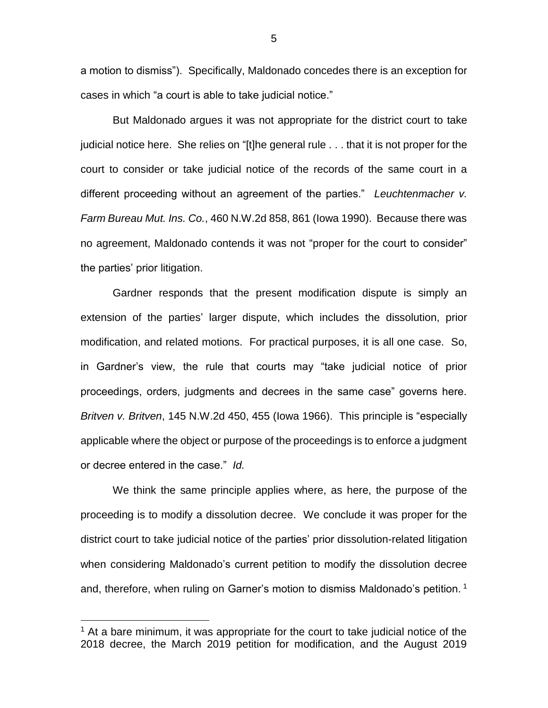a motion to dismiss"). Specifically, Maldonado concedes there is an exception for cases in which "a court is able to take judicial notice."

But Maldonado argues it was not appropriate for the district court to take judicial notice here. She relies on "[t]he general rule . . . that it is not proper for the court to consider or take judicial notice of the records of the same court in a different proceeding without an agreement of the parties." *Leuchtenmacher v. Farm Bureau Mut. Ins. Co.*, 460 N.W.2d 858, 861 (Iowa 1990). Because there was no agreement, Maldonado contends it was not "proper for the court to consider" the parties' prior litigation.

Gardner responds that the present modification dispute is simply an extension of the parties' larger dispute, which includes the dissolution, prior modification, and related motions. For practical purposes, it is all one case. So, in Gardner's view, the rule that courts may "take judicial notice of prior proceedings, orders, judgments and decrees in the same case" governs here. *Britven v. Britven*, 145 N.W.2d 450, 455 (Iowa 1966). This principle is "especially applicable where the object or purpose of the proceedings is to enforce a judgment or decree entered in the case." *Id.*

We think the same principle applies where, as here, the purpose of the proceeding is to modify a dissolution decree. We conclude it was proper for the district court to take judicial notice of the parties' prior dissolution-related litigation when considering Maldonado's current petition to modify the dissolution decree and, therefore, when ruling on Garner's motion to dismiss Maldonado's petition. 1

 $\overline{a}$ 

5

 $<sup>1</sup>$  At a bare minimum, it was appropriate for the court to take judicial notice of the</sup> 2018 decree, the March 2019 petition for modification, and the August 2019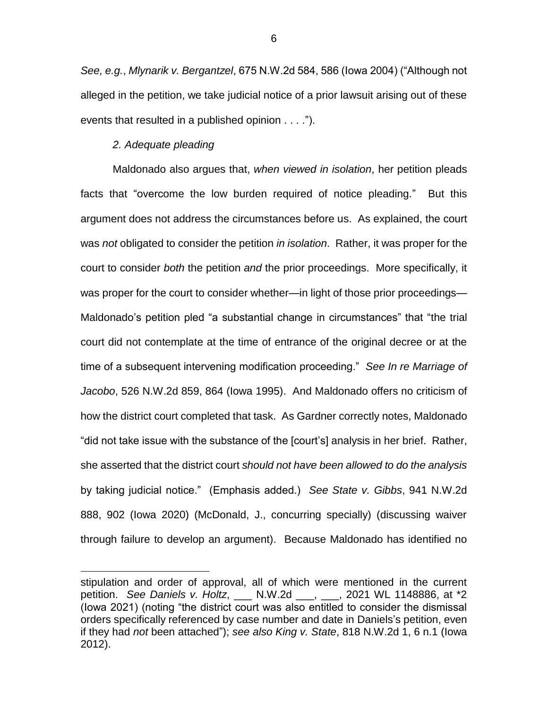*See, e.g.*, *Mlynarik v. Bergantzel*, 675 N.W.2d 584, 586 (Iowa 2004) ("Although not alleged in the petition, we take judicial notice of a prior lawsuit arising out of these events that resulted in a published opinion . . . .").

# *2. Adequate pleading*

 $\overline{a}$ 

Maldonado also argues that, *when viewed in isolation*, her petition pleads facts that "overcome the low burden required of notice pleading." But this argument does not address the circumstances before us. As explained, the court was *not* obligated to consider the petition *in isolation*. Rather, it was proper for the court to consider *both* the petition *and* the prior proceedings. More specifically, it was proper for the court to consider whether—in light of those prior proceedings— Maldonado's petition pled "a substantial change in circumstances" that "the trial court did not contemplate at the time of entrance of the original decree or at the time of a subsequent intervening modification proceeding." *See In re Marriage of Jacobo*, 526 N.W.2d 859, 864 (Iowa 1995). And Maldonado offers no criticism of how the district court completed that task. As Gardner correctly notes, Maldonado "did not take issue with the substance of the [court's] analysis in her brief. Rather, she asserted that the district court *should not have been allowed to do the analysis* by taking judicial notice." (Emphasis added.) *See State v. Gibbs*, 941 N.W.2d 888, 902 (Iowa 2020) (McDonald, J., concurring specially) (discussing waiver through failure to develop an argument). Because Maldonado has identified no

stipulation and order of approval, all of which were mentioned in the current petition. *See Daniels v. Holtz*, \_\_\_ N.W.2d \_\_\_, \_\_\_, 2021 WL 1148886, at \*2 (Iowa 2021) (noting "the district court was also entitled to consider the dismissal orders specifically referenced by case number and date in Daniels's petition, even if they had *not* been attached"); *see also King v. State*, 818 N.W.2d 1, 6 n.1 (Iowa 2012).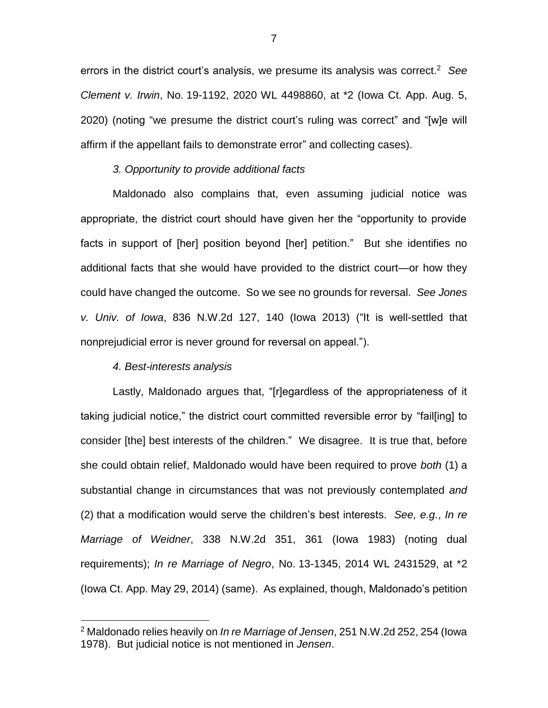errors in the district court's analysis, we presume its analysis was correct. <sup>2</sup> *See Clement v. Irwin*, No. 19-1192, 2020 WL 4498860, at \*2 (Iowa Ct. App. Aug. 5, 2020) (noting "we presume the district court's ruling was correct" and "[w]e will affirm if the appellant fails to demonstrate error" and collecting cases).

### *3. Opportunity to provide additional facts*

Maldonado also complains that, even assuming judicial notice was appropriate, the district court should have given her the "opportunity to provide facts in support of [her] position beyond [her] petition." But she identifies no additional facts that she would have provided to the district court—or how they could have changed the outcome. So we see no grounds for reversal. *See Jones v. Univ. of Iowa*, 836 N.W.2d 127, 140 (Iowa 2013) ("It is well-settled that nonprejudicial error is never ground for reversal on appeal.").

### *4. Best-interests analysis*

 $\overline{a}$ 

Lastly, Maldonado argues that, "[r]egardless of the appropriateness of it taking judicial notice," the district court committed reversible error by "fail[ing] to consider [the] best interests of the children." We disagree. It is true that, before she could obtain relief, Maldonado would have been required to prove *both* (1) a substantial change in circumstances that was not previously contemplated *and* (2) that a modification would serve the children's best interests. *See, e.g.*, *In re Marriage of Weidner*, 338 N.W.2d 351, 361 (Iowa 1983) (noting dual requirements); *In re Marriage of Negro*, No. 13-1345, 2014 WL 2431529, at \*2 (Iowa Ct. App. May 29, 2014) (same). As explained, though, Maldonado's petition

<sup>2</sup> Maldonado relies heavily on *In re Marriage of Jensen*, 251 N.W.2d 252, 254 (Iowa 1978). But judicial notice is not mentioned in *Jensen*.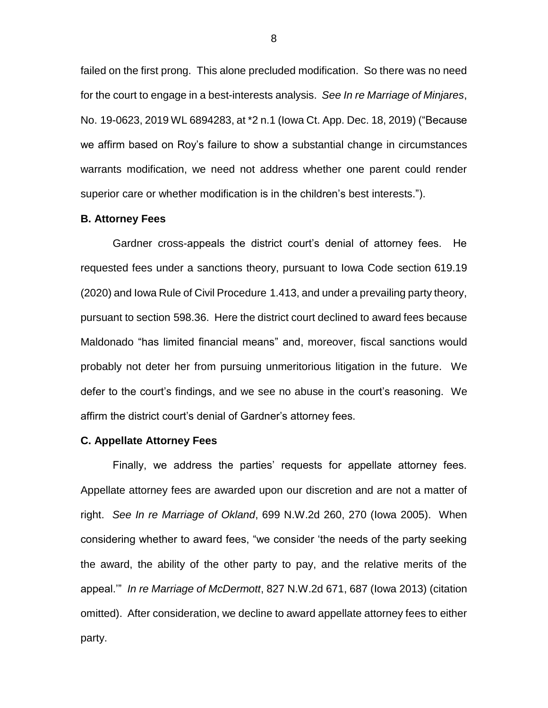failed on the first prong. This alone precluded modification. So there was no need for the court to engage in a best-interests analysis. *See In re Marriage of Minjares*, No. 19-0623, 2019 WL 6894283, at \*2 n.1 (Iowa Ct. App. Dec. 18, 2019) ("Because we affirm based on Roy's failure to show a substantial change in circumstances warrants modification, we need not address whether one parent could render superior care or whether modification is in the children's best interests.").

#### **B. Attorney Fees**

Gardner cross-appeals the district court's denial of attorney fees. He requested fees under a sanctions theory, pursuant to Iowa Code section 619.19 (2020) and Iowa Rule of Civil Procedure 1.413, and under a prevailing party theory, pursuant to section 598.36. Here the district court declined to award fees because Maldonado "has limited financial means" and, moreover, fiscal sanctions would probably not deter her from pursuing unmeritorious litigation in the future. We defer to the court's findings, and we see no abuse in the court's reasoning. We affirm the district court's denial of Gardner's attorney fees.

#### **C. Appellate Attorney Fees**

Finally, we address the parties' requests for appellate attorney fees. Appellate attorney fees are awarded upon our discretion and are not a matter of right. *See In re Marriage of Okland*, 699 N.W.2d 260, 270 (Iowa 2005). When considering whether to award fees, "we consider 'the needs of the party seeking the award, the ability of the other party to pay, and the relative merits of the appeal.'" *In re Marriage of McDermott*, 827 N.W.2d 671, 687 (Iowa 2013) (citation omitted). After consideration, we decline to award appellate attorney fees to either party.